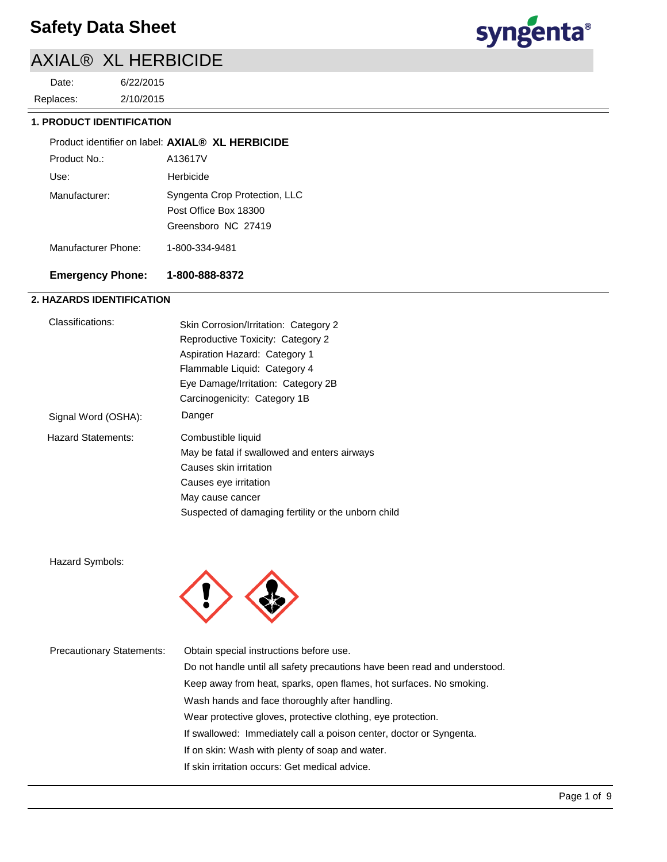2/10/2015 6/22/2015 Replaces: Date:



### **1. PRODUCT IDENTIFICATION**

|               | Product identifier on label: AXIAL® XL HERBICIDE       |
|---------------|--------------------------------------------------------|
| Product No.:  | A13617V                                                |
| Use:          | Herbicide                                              |
| Manufacturer: | Syngenta Crop Protection, LLC<br>Post Office Box 18300 |
|               | Greensboro NC 27419                                    |
|               |                                                        |

Manufacturer Phone: 1-800-334-9481

# **Emergency Phone: 1-800-888-8372**

# **2. HAZARDS IDENTIFICATION**

| Classifications:          | Skin Corrosion/Irritation: Category 2               |
|---------------------------|-----------------------------------------------------|
|                           | Reproductive Toxicity: Category 2                   |
|                           | Aspiration Hazard: Category 1                       |
|                           | Flammable Liquid: Category 4                        |
|                           | Eye Damage/Irritation: Category 2B                  |
|                           | Carcinogenicity: Category 1B                        |
| Signal Word (OSHA):       | Danger                                              |
| <b>Hazard Statements:</b> | Combustible liquid                                  |
|                           | May be fatal if swallowed and enters airways        |
|                           | Causes skin irritation                              |
|                           | Causes eye irritation                               |
|                           | May cause cancer                                    |
|                           | Suspected of damaging fertility or the unborn child |

Hazard Symbols:



| <b>Precautionary Statements:</b> | Obtain special instructions before use.                                   |
|----------------------------------|---------------------------------------------------------------------------|
|                                  | Do not handle until all safety precautions have been read and understood. |
|                                  | Keep away from heat, sparks, open flames, hot surfaces. No smoking.       |
|                                  | Wash hands and face thoroughly after handling.                            |
|                                  | Wear protective gloves, protective clothing, eye protection.              |
|                                  | If swallowed: Immediately call a poison center, doctor or Syngenta.       |
|                                  | If on skin: Wash with plenty of soap and water.                           |
|                                  | If skin irritation occurs: Get medical advice.                            |
|                                  |                                                                           |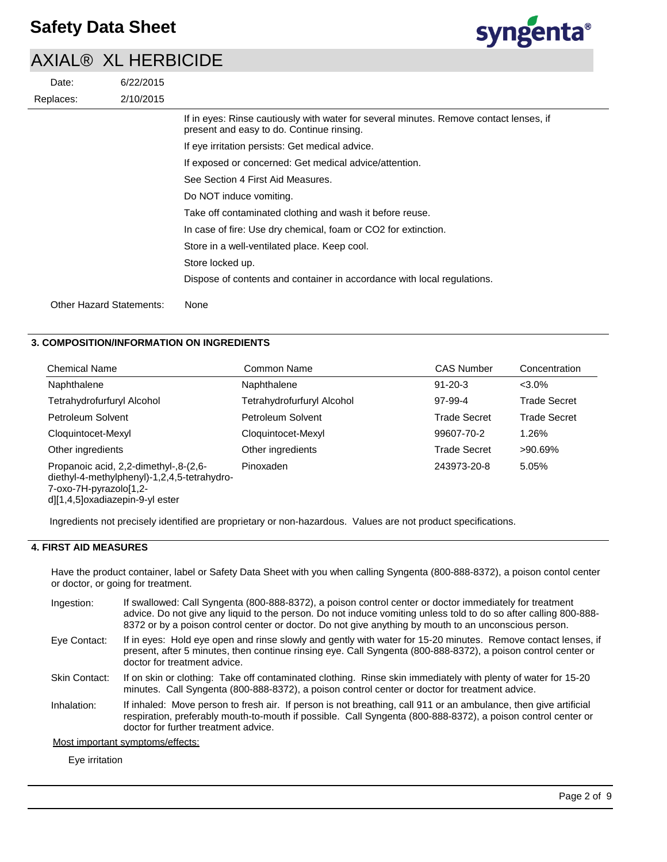|           | $\overline{1}$ $\overline{2}$ $\overline{1}$ $\overline{2}$ $\overline{3}$ $\overline{4}$ $\overline{1}$ $\overline{2}$ $\overline{1}$ $\overline{2}$ $\overline{1}$ $\overline{2}$ $\overline{1}$ $\overline{2}$ $\overline{1}$ $\overline{2}$ $\overline{1}$ $\overline{2}$ $\overline{1}$ $\overline{2}$ $\overline{1}$ $\overline{2}$ $\overline{1}$ $\overline{2}$ $\overline{$ |                                                                                                                                     |
|-----------|--------------------------------------------------------------------------------------------------------------------------------------------------------------------------------------------------------------------------------------------------------------------------------------------------------------------------------------------------------------------------------------|-------------------------------------------------------------------------------------------------------------------------------------|
| Date:     | 6/22/2015                                                                                                                                                                                                                                                                                                                                                                            |                                                                                                                                     |
| Replaces: | 2/10/2015                                                                                                                                                                                                                                                                                                                                                                            |                                                                                                                                     |
|           |                                                                                                                                                                                                                                                                                                                                                                                      | If in eyes: Rinse cautiously with water for several minutes. Remove contact lenses, if<br>present and easy to do. Continue rinsing. |
|           |                                                                                                                                                                                                                                                                                                                                                                                      | If eye irritation persists: Get medical advice.                                                                                     |
|           |                                                                                                                                                                                                                                                                                                                                                                                      | If exposed or concerned: Get medical advice/attention.                                                                              |
|           |                                                                                                                                                                                                                                                                                                                                                                                      | See Section 4 First Aid Measures.                                                                                                   |
|           |                                                                                                                                                                                                                                                                                                                                                                                      | Do NOT induce vomiting.                                                                                                             |
|           |                                                                                                                                                                                                                                                                                                                                                                                      | Take off contaminated clothing and wash it before reuse.                                                                            |
|           |                                                                                                                                                                                                                                                                                                                                                                                      | In case of fire: Use dry chemical, foam or CO2 for extinction.                                                                      |
|           |                                                                                                                                                                                                                                                                                                                                                                                      | Store in a well-ventilated place. Keep cool.                                                                                        |
|           |                                                                                                                                                                                                                                                                                                                                                                                      | Store locked up.                                                                                                                    |
|           |                                                                                                                                                                                                                                                                                                                                                                                      | Dispose of contents and container in accordance with local regulations.                                                             |
|           | Other Hazard Statements:                                                                                                                                                                                                                                                                                                                                                             | None                                                                                                                                |

# **3. COMPOSITION/INFORMATION ON INGREDIENTS**

| <b>Chemical Name</b>                                                                                                                              | Common Name                | <b>CAS Number</b>   | Concentration       |
|---------------------------------------------------------------------------------------------------------------------------------------------------|----------------------------|---------------------|---------------------|
| Naphthalene                                                                                                                                       | Naphthalene                | $91 - 20 - 3$       | $< 3.0\%$           |
| Tetrahydrofurfuryl Alcohol                                                                                                                        | Tetrahydrofurfuryl Alcohol | 97-99-4             | <b>Trade Secret</b> |
| Petroleum Solvent                                                                                                                                 | Petroleum Solvent          | <b>Trade Secret</b> | <b>Trade Secret</b> |
| Cloquintocet-Mexyl                                                                                                                                | Cloquintocet-Mexyl         | 99607-70-2          | 1.26%               |
| Other ingredients                                                                                                                                 | Other ingredients          | <b>Trade Secret</b> | $>90.69\%$          |
| Propanoic acid, 2,2-dimethyl-,8-(2,6-<br>diethyl-4-methylphenyl)-1,2,4,5-tetrahydro-<br>7-oxo-7H-pyrazolo[1,2-<br>d][1,4,5]oxadiazepin-9-yl ester | Pinoxaden                  | 243973-20-8         | 5.05%               |

Ingredients not precisely identified are proprietary or non-hazardous. Values are not product specifications.

# **4. FIRST AID MEASURES**

Have the product container, label or Safety Data Sheet with you when calling Syngenta (800-888-8372), a poison contol center or doctor, or going for treatment.

- If swallowed: Call Syngenta (800-888-8372), a poison control center or doctor immediately for treatment advice. Do not give any liquid to the person. Do not induce vomiting unless told to do so after calling 800-888- 8372 or by a poison control center or doctor. Do not give anything by mouth to an unconscious person. Ingestion:
- If in eyes: Hold eye open and rinse slowly and gently with water for 15-20 minutes. Remove contact lenses, if present, after 5 minutes, then continue rinsing eye. Call Syngenta (800-888-8372), a poison control center or doctor for treatment advice. Eye Contact:
- If on skin or clothing: Take off contaminated clothing. Rinse skin immediately with plenty of water for 15-20 minutes. Call Syngenta (800-888-8372), a poison control center or doctor for treatment advice. Skin Contact:
- If inhaled: Move person to fresh air. If person is not breathing, call 911 or an ambulance, then give artificial respiration, preferably mouth-to-mouth if possible. Call Syngenta (800-888-8372), a poison control center or doctor for further treatment advice. Inhalation:

Most important symptoms/effects:

Eye irritation

syngenta®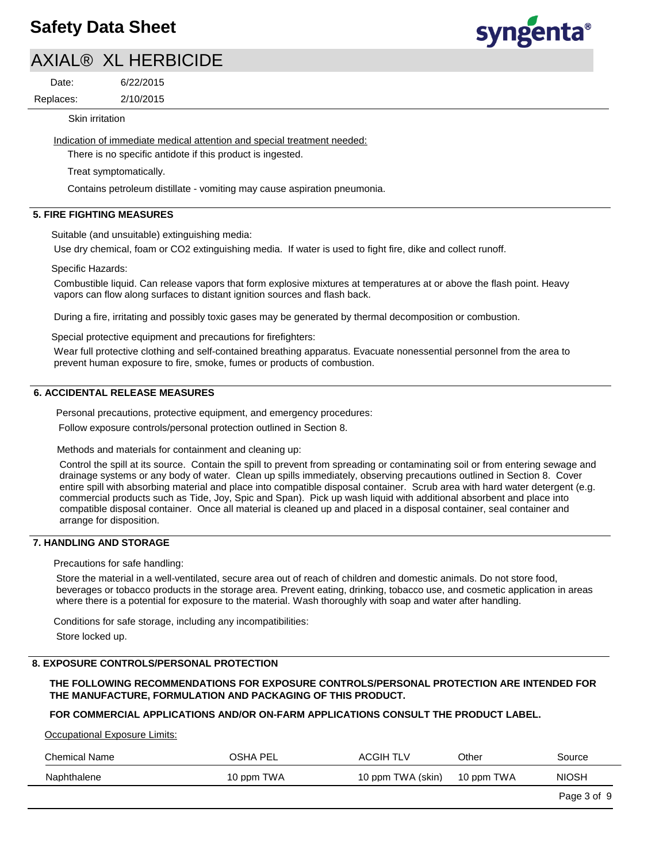# **Safety Data Sheet**

# AXIAL® XL HERBICIDE

Date:

6/22/2015

2/10/2015 Replaces:

Skin irritation

Indication of immediate medical attention and special treatment needed:

There is no specific antidote if this product is ingested.

Treat symptomatically.

Contains petroleum distillate - vomiting may cause aspiration pneumonia.

# **5. FIRE FIGHTING MEASURES**

Suitable (and unsuitable) extinguishing media:

Use dry chemical, foam or CO2 extinguishing media. If water is used to fight fire, dike and collect runoff.

Specific Hazards:

Combustible liquid. Can release vapors that form explosive mixtures at temperatures at or above the flash point. Heavy vapors can flow along surfaces to distant ignition sources and flash back.

During a fire, irritating and possibly toxic gases may be generated by thermal decomposition or combustion.

Special protective equipment and precautions for firefighters:

Wear full protective clothing and self-contained breathing apparatus. Evacuate nonessential personnel from the area to prevent human exposure to fire, smoke, fumes or products of combustion.

# **6. ACCIDENTAL RELEASE MEASURES**

Personal precautions, protective equipment, and emergency procedures:

Follow exposure controls/personal protection outlined in Section 8.

Methods and materials for containment and cleaning up:

Control the spill at its source. Contain the spill to prevent from spreading or contaminating soil or from entering sewage and drainage systems or any body of water. Clean up spills immediately, observing precautions outlined in Section 8. Cover entire spill with absorbing material and place into compatible disposal container. Scrub area with hard water detergent (e.g. commercial products such as Tide, Joy, Spic and Span). Pick up wash liquid with additional absorbent and place into compatible disposal container. Once all material is cleaned up and placed in a disposal container, seal container and arrange for disposition.

### **7. HANDLING AND STORAGE**

Precautions for safe handling:

Store the material in a well-ventilated, secure area out of reach of children and domestic animals. Do not store food, beverages or tobacco products in the storage area. Prevent eating, drinking, tobacco use, and cosmetic application in areas where there is a potential for exposure to the material. Wash thoroughly with soap and water after handling.

Conditions for safe storage, including any incompatibilities:

Store locked up.

### **8. EXPOSURE CONTROLS/PERSONAL PROTECTION**

### **THE FOLLOWING RECOMMENDATIONS FOR EXPOSURE CONTROLS/PERSONAL PROTECTION ARE INTENDED FOR THE MANUFACTURE, FORMULATION AND PACKAGING OF THIS PRODUCT.**

# **FOR COMMERCIAL APPLICATIONS AND/OR ON-FARM APPLICATIONS CONSULT THE PRODUCT LABEL.**

Occupational Exposure Limits:

| <b>Chemical Name</b> | OSHA PEL   | <b>ACGIH TLV</b>  | Other      | Source       |
|----------------------|------------|-------------------|------------|--------------|
| Naphthalene          | 10 ppm TWA | 10 ppm TWA (skin) | 10 ppm TWA | <b>NIOSH</b> |
|                      |            |                   |            | Page 3 of 9  |

# syngenta®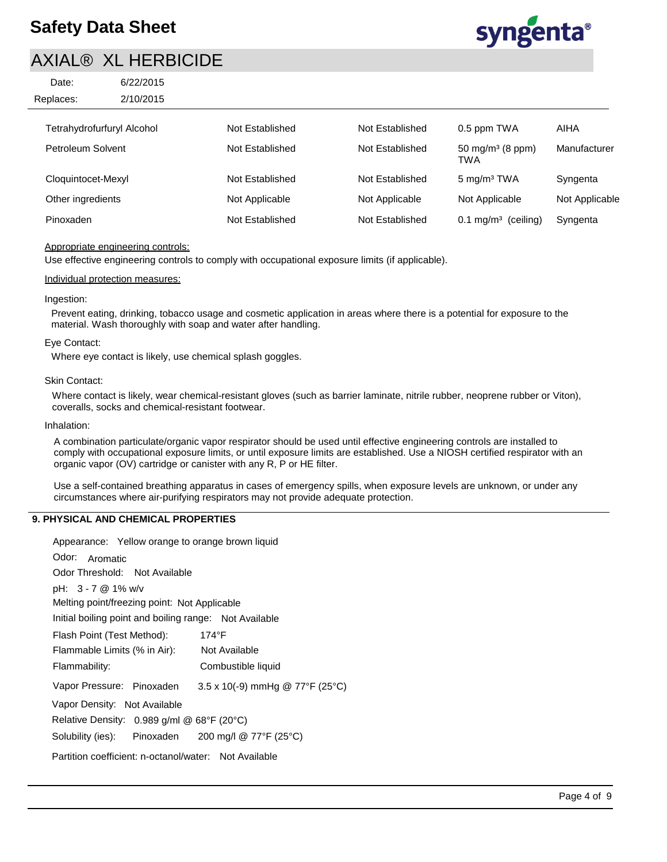| Date:     | 6/22/2015 |
|-----------|-----------|
| Replaces: | 2/10/2015 |



| Tetrahydrofurfuryl Alcohol | Not Established | Not Established | 0.5 ppm TWA                                | $ -$<br>AIHA   |
|----------------------------|-----------------|-----------------|--------------------------------------------|----------------|
| Petroleum Solvent          | Not Established | Not Established | 50 mg/m <sup>3</sup> (8 ppm)<br><b>TWA</b> | Manufacturer   |
| Cloquintocet-Mexyl         | Not Established | Not Established | 5 mg/m <sup>3</sup> TWA                    | Syngenta       |
| Other ingredients          | Not Applicable  | Not Applicable  | Not Applicable                             | Not Applicable |
| Pinoxaden                  | Not Established | Not Established | (ceiling)<br>$0.1 \text{ mg/m}^3$          | Syngenta       |

# Appropriate engineering controls:

Use effective engineering controls to comply with occupational exposure limits (if applicable).

### Individual protection measures:

#### Ingestion:

Prevent eating, drinking, tobacco usage and cosmetic application in areas where there is a potential for exposure to the material. Wash thoroughly with soap and water after handling.

#### Eye Contact:

Where eye contact is likely, use chemical splash goggles.

#### Skin Contact:

Where contact is likely, wear chemical-resistant gloves (such as barrier laminate, nitrile rubber, neoprene rubber or Viton), coveralls, socks and chemical-resistant footwear.

#### Inhalation:

A combination particulate/organic vapor respirator should be used until effective engineering controls are installed to comply with occupational exposure limits, or until exposure limits are established. Use a NIOSH certified respirator with an organic vapor (OV) cartridge or canister with any R, P or HE filter.

Use a self-contained breathing apparatus in cases of emergency spills, when exposure levels are unknown, or under any circumstances where air-purifying respirators may not provide adequate protection.

# **9. PHYSICAL AND CHEMICAL PROPERTIES**

| Appearance: Yellow orange to orange brown liquid                    |
|---------------------------------------------------------------------|
| Odor: Aromatic                                                      |
| Odor Threshold: Not Available                                       |
| pH: 3 - 7 @ 1% w/v                                                  |
| Melting point/freezing point: Not Applicable                        |
| Initial boiling point and boiling range: Not Available              |
| Flash Point (Test Method):<br>174°F                                 |
| Flammable Limits (% in Air):<br>Not Available                       |
| Flammability:<br>Combustible liquid                                 |
| $3.5 \times 10(-9)$ mmHg @ 77°F (25°C)<br>Vapor Pressure: Pinoxaden |
| Vapor Density: Not Available                                        |
| Relative Density: $0.989$ g/ml @ 68°F (20°C)                        |
| Solubility (ies): Pinoxaden 200 mg/l @ 77°F (25°C)                  |
| Partition coefficient: n-octanol/water: Not Available               |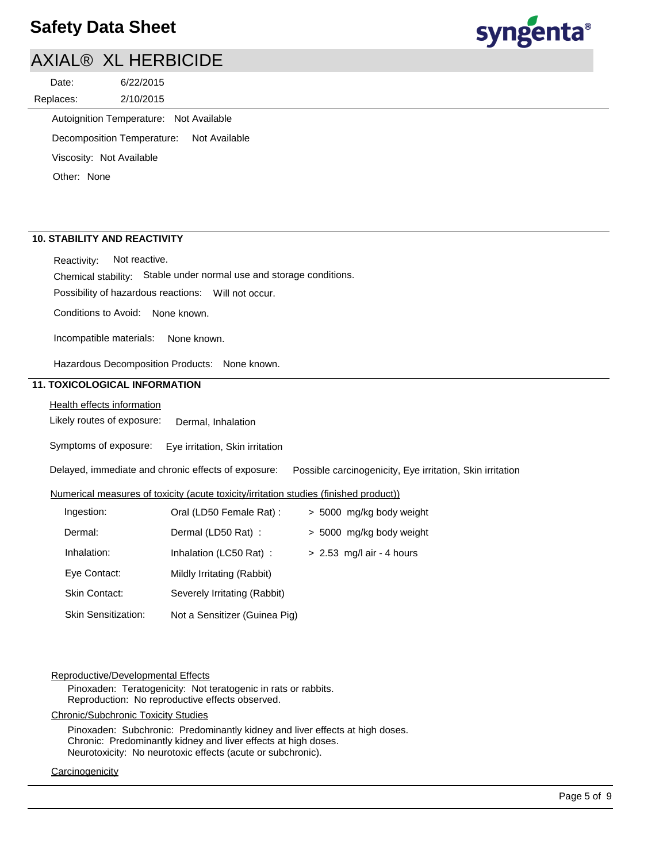# **Safety Data Sheet**

# AXIAL® XL HERBICIDE

2/10/2015 6/22/2015 Replaces: Date:

Autoignition Temperature: Not Available

Decomposition Temperature: Not Available

Viscosity: Not Available

Other: None

# **10. STABILITY AND REACTIVITY**

Reactivity: Not reactive.

Chemical stability: Stable under normal use and storage conditions.

Possibility of hazardous reactions: Will not occur.

Conditions to Avoid: None known.

Incompatible materials: None known.

Hazardous Decomposition Products: None known.

# **11. TOXICOLOGICAL INFORMATION**

Health effects information

Likely routes of exposure: Dermal, Inhalation

Symptoms of exposure: Eye irritation, Skin irritation

Delayed, immediate and chronic effects of exposure: Possible carcinogenicity, Eye irritation, Skin irritation

# Numerical measures of toxicity (acute toxicity/irritation studies (finished product))

| Ingestion:                 | Oral (LD50 Female Rat) :      | > 5000 mg/kg body weight    |
|----------------------------|-------------------------------|-----------------------------|
| Dermal:                    | Dermal (LD50 Rat) :           | > 5000 mg/kg body weight    |
| Inhalation:                | Inhalation (LC50 Rat):        | $> 2.53$ mg/l air - 4 hours |
| Eye Contact:               | Mildly Irritating (Rabbit)    |                             |
| <b>Skin Contact:</b>       | Severely Irritating (Rabbit)  |                             |
| <b>Skin Sensitization:</b> | Not a Sensitizer (Guinea Pig) |                             |

# Reproductive/Developmental Effects

Pinoxaden: Teratogenicity: Not teratogenic in rats or rabbits. Reproduction: No reproductive effects observed.

Chronic/Subchronic Toxicity Studies

Pinoxaden: Subchronic: Predominantly kidney and liver effects at high doses. Chronic: Predominantly kidney and liver effects at high doses. Neurotoxicity: No neurotoxic effects (acute or subchronic).

# **Carcinogenicity**

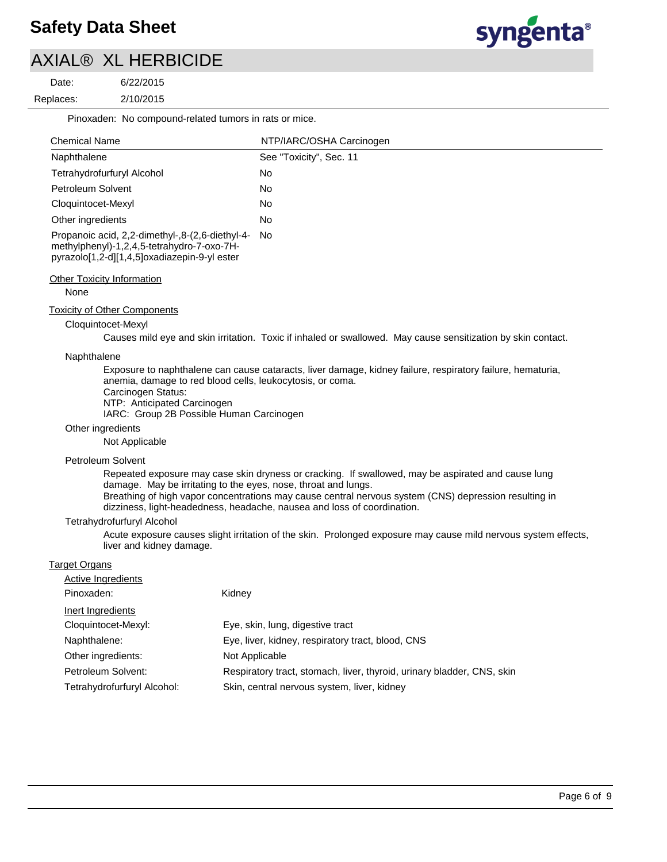

Date:

2/10/2015 6/22/2015 Replaces:<br>————————————————————

Pinoxaden: No compound-related tumors in rats or mice.

| <b>Chemical Name</b>                                                                                                                             | NTP/IARC/OSHA Carcinogen |
|--------------------------------------------------------------------------------------------------------------------------------------------------|--------------------------|
| Naphthalene                                                                                                                                      | See "Toxicity", Sec. 11  |
| Tetrahydrofurfuryl Alcohol                                                                                                                       | No                       |
| Petroleum Solvent                                                                                                                                | No                       |
| Cloquintocet-Mexyl                                                                                                                               | No                       |
| Other ingredients                                                                                                                                | No                       |
| Propanoic acid, 2,2-dimethyl-,8-(2,6-diethyl-4- No<br>methylphenyl)-1,2,4,5-tetrahydro-7-oxo-7H-<br>pyrazolo[1,2-d][1,4,5]oxadiazepin-9-yl ester |                          |

#### Other Toxicity Information

None

### Toxicity of Other Components

### Cloquintocet-Mexyl

Causes mild eye and skin irritation. Toxic if inhaled or swallowed. May cause sensitization by skin contact.

#### Naphthalene

Exposure to naphthalene can cause cataracts, liver damage, kidney failure, respiratory failure, hematuria, anemia, damage to red blood cells, leukocytosis, or coma.

- Carcinogen Status:
- NTP: Anticipated Carcinogen

IARC: Group 2B Possible Human Carcinogen

#### Other ingredients

Not Applicable

#### Petroleum Solvent

Repeated exposure may case skin dryness or cracking. If swallowed, may be aspirated and cause lung damage. May be irritating to the eyes, nose, throat and lungs.

Breathing of high vapor concentrations may cause central nervous system (CNS) depression resulting in dizziness, light-headedness, headache, nausea and loss of coordination.

#### Tetrahydrofurfuryl Alcohol

Acute exposure causes slight irritation of the skin. Prolonged exposure may cause mild nervous system effects, liver and kidney damage.

### Target Organs

| Active Ingredients          |                                                                        |
|-----------------------------|------------------------------------------------------------------------|
| Pinoxaden:                  | Kidney                                                                 |
| Inert Ingredients           |                                                                        |
| Cloquintocet-Mexyl:         | Eye, skin, lung, digestive tract                                       |
| Naphthalene:                | Eye, liver, kidney, respiratory tract, blood, CNS                      |
| Other ingredients:          | Not Applicable                                                         |
| Petroleum Solvent:          | Respiratory tract, stomach, liver, thyroid, urinary bladder, CNS, skin |
| Tetrahydrofurfuryl Alcohol: | Skin, central nervous system, liver, kidney                            |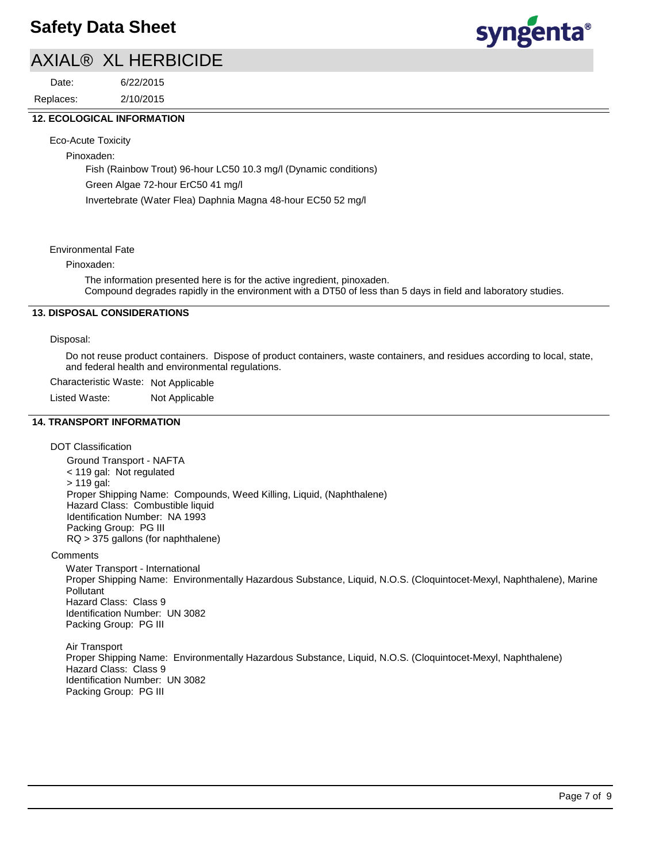2/10/2015 6/22/2015 Replaces: Date:



# **12. ECOLOGICAL INFORMATION**

Eco-Acute Toxicity

Pinoxaden:

Fish (Rainbow Trout) 96-hour LC50 10.3 mg/l (Dynamic conditions) Green Algae 72-hour ErC50 41 mg/l Invertebrate (Water Flea) Daphnia Magna 48-hour EC50 52 mg/l

Environmental Fate

### Pinoxaden:

The information presented here is for the active ingredient, pinoxaden. Compound degrades rapidly in the environment with a DT50 of less than 5 days in field and laboratory studies.

# **13. DISPOSAL CONSIDERATIONS**

### Disposal:

Do not reuse product containers. Dispose of product containers, waste containers, and residues according to local, state, and federal health and environmental regulations.

Characteristic Waste: Not Applicable

Listed Waste: Not Applicable

### **14. TRANSPORT INFORMATION**

DOT Classification

Ground Transport - NAFTA < 119 gal: Not regulated > 119 gal: Proper Shipping Name: Compounds, Weed Killing, Liquid, (Naphthalene) Hazard Class: Combustible liquid Identification Number: NA 1993 Packing Group: PG III RQ > 375 gallons (for naphthalene)

**Comments** 

Water Transport - International Proper Shipping Name: Environmentally Hazardous Substance, Liquid, N.O.S. (Cloquintocet-Mexyl, Naphthalene), Marine Pollutant Hazard Class: Class 9 Identification Number: UN 3082 Packing Group: PG III

Air Transport Proper Shipping Name: Environmentally Hazardous Substance, Liquid, N.O.S. (Cloquintocet-Mexyl, Naphthalene) Hazard Class: Class 9 Identification Number: UN 3082 Packing Group: PG III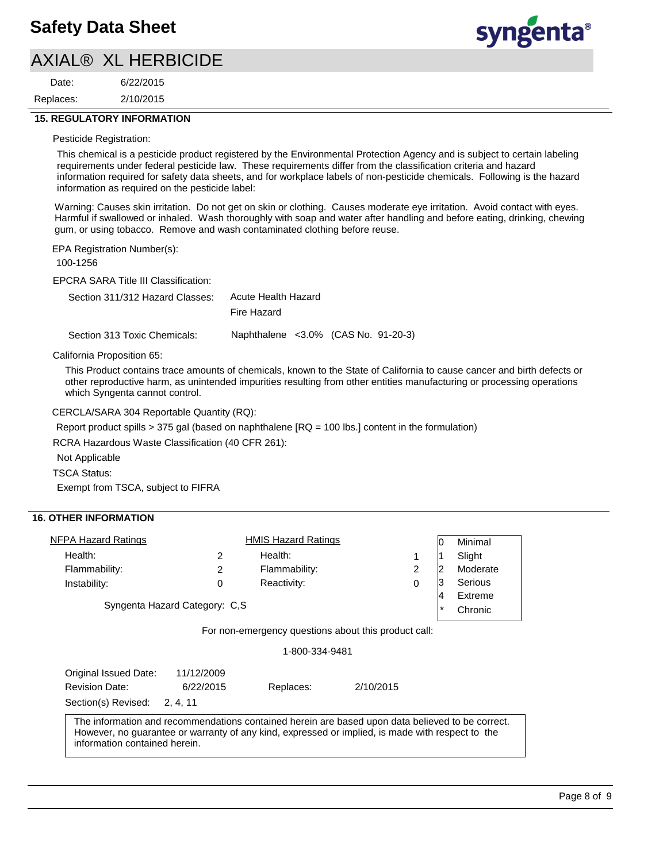2/10/2015 6/22/2015 Replaces: Date:



### **15. REGULATORY INFORMATION**

#### Pesticide Registration:

This chemical is a pesticide product registered by the Environmental Protection Agency and is subject to certain labeling requirements under federal pesticide law. These requirements differ from the classification criteria and hazard information required for safety data sheets, and for workplace labels of non-pesticide chemicals. Following is the hazard information as required on the pesticide label:

Warning: Causes skin irritation. Do not get on skin or clothing. Causes moderate eye irritation. Avoid contact with eyes. Harmful if swallowed or inhaled. Wash thoroughly with soap and water after handling and before eating, drinking, chewing gum, or using tobacco. Remove and wash contaminated clothing before reuse.

EPA Registration Number(s):

100-1256

EPCRA SARA Title III Classification:

| Section 311/312 Hazard Classes: | Acute Health Hazard |
|---------------------------------|---------------------|
|                                 | Fire Hazard         |
|                                 |                     |

Section 313 Toxic Chemicals: Naphthalene <3.0% (CAS No. 91-20-3)

California Proposition 65:

This Product contains trace amounts of chemicals, known to the State of California to cause cancer and birth defects or other reproductive harm, as unintended impurities resulting from other entities manufacturing or processing operations which Syngenta cannot control.

CERCLA/SARA 304 Reportable Quantity (RQ):

Report product spills > 375 gal (based on naphthalene [RQ = 100 lbs.] content in the formulation)

RCRA Hazardous Waste Classification (40 CFR 261):

Not Applicable

TSCA Status:

Exempt from TSCA, subject to FIFRA

# **16. OTHER INFORMATION**

| NFPA Hazard Ratings            |   | <b>HMIS Hazard Ratings</b> |         | ١O      | Minimal  |
|--------------------------------|---|----------------------------|---------|---------|----------|
| Health:                        |   | Health:                    |         |         | Slight   |
| Flammability:                  |   | Flammability:              | 2       |         | Moderate |
| Instability:                   | 0 | Reactivity:                | 0       | 13      | Serious  |
| Syngenta Hazard Category: C.S. |   |                            | 14      | Extreme |          |
|                                |   |                            | $\star$ | Chronic |          |
|                                |   |                            |         |         |          |

For non-emergency questions about this product call:

1-800-334-9481

| Original Issued Date:                                                                            | 11/12/2009 |           |                                                                                                  |  |
|--------------------------------------------------------------------------------------------------|------------|-----------|--------------------------------------------------------------------------------------------------|--|
| <b>Revision Date:</b>                                                                            | 6/22/2015  | Replaces: | 2/10/2015                                                                                        |  |
| Section(s) Revised: 2.4.11                                                                       |            |           |                                                                                                  |  |
| However, no guarantee or warranty of any kind, expressed or implied, is made with respect to the |            |           | The information and recommendations contained herein are based upon data believed to be correct. |  |

information contained herein.